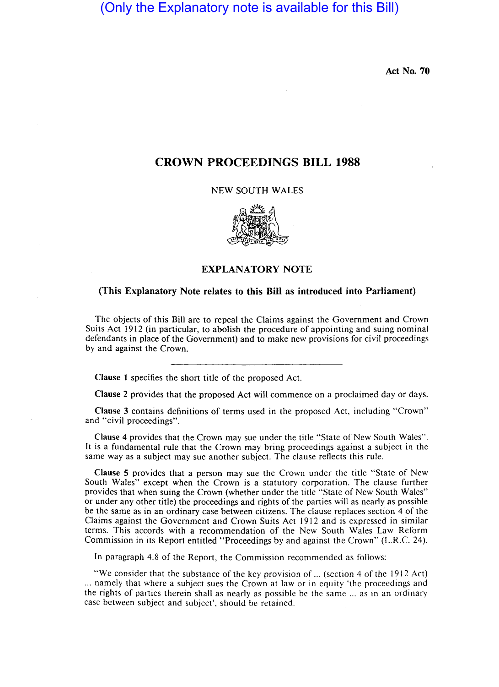## (Only the Explanatory note is available for this Bill)

Act No. 70

## CROWN PROCEEDINGS BILL 1988

NEW SOUTH WALES



## EXPLANATORY NOTE

## (This Explanatory Note relates to this Bill as introduced into Parliament)

The objects of this Bill are to repeal the Claims against the Government and Crown Suits Act 1912 (in particular, to abolish the procedure of appointing and suing nominal defendants in place of the Government) and to make new provisions for civil proceedings by and against the Crown.

Clause 1 specifies the short title of the proposed Act.

Clause 2 provides that the proposed Act will commence on a proclaimed day or days.

Clause 3 contains definitions of terms used in the proposed Act, including "Crown" and "civil proceedings".

Clause 4 provides that the Crown may sue under the title "State of New South Wales". It is a fundamental rule that the Crown may bring proceedings against a subject in the same way as a subject may sue another subject. The clause reflects this rule.

Clause 5 provides that a person may sue the Crown under the title "State of New South Wales" except when the Crown is a statutory corporation. The clause further provides that when suing the Crown (whether under the title "State of New South Wales" or under any other title) the proceedings and rights of the parties will as nearly as possible be the same as in an ordinary case between citizens. The clause replaces section 4 of the Claims against the Government and Crown Suits Act 1912 and is expressed in similar terms. This accords with a recommendation of the New South Wales Law Reform Commission in its Report entitled "Proceedings by and against the Crown" (L.R.C. 24).

In paragraph 4.8 of the Report, the Commission recommended as follows:

"We consider that the substance of the key provision of ... (section 4 of the 1912 Act) ... namely that where a subject sues the Crown at law or in equity 'the proceedings and the rights of parties therein shall as nearly as possible be the same ... as in an ordinary case between subject and subject', should be retained.